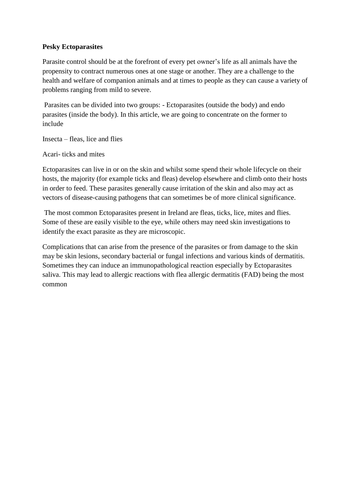#### **Pesky Ectoparasites**

Parasite control should be at the forefront of every pet owner's life as all animals have the propensity to contract numerous ones at one stage or another. They are a challenge to the health and welfare of companion animals and at times to people as they can cause a variety of problems ranging from mild to severe.

Parasites can be divided into two groups: - Ectoparasites (outside the body) and endo parasites (inside the body). In this article, we are going to concentrate on the former to include

Insecta – fleas, lice and flies

Acari- ticks and mites

Ectoparasites can live in or on the skin and whilst some spend their whole lifecycle on their hosts, the majority (for example ticks and fleas) develop elsewhere and climb onto their hosts in order to feed. These parasites generally cause irritation of the skin and also may act as vectors of disease-causing pathogens that can sometimes be of more clinical significance.

The most common Ectoparasites present in Ireland are fleas, ticks, lice, mites and flies. Some of these are easily visible to the eye, while others may need skin investigations to identify the exact parasite as they are microscopic.

Complications that can arise from the presence of the parasites or from damage to the skin may be skin lesions, secondary bacterial or fungal infections and various kinds of dermatitis. Sometimes they can induce an immunopathological reaction especially by Ectoparasites saliva. This may lead to allergic reactions with flea allergic dermatitis (FAD) being the most common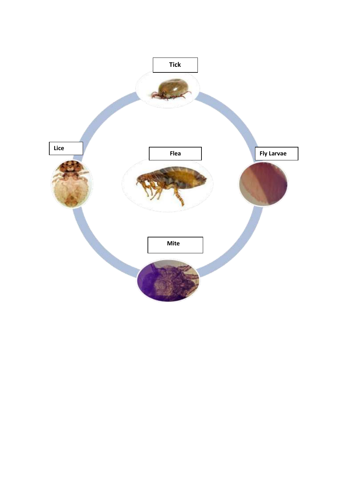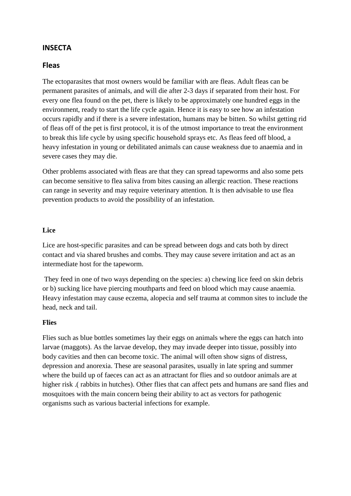# **INSECTA**

#### **Fleas**

The ectoparasites that most owners would be familiar with are fleas. Adult fleas can be permanent parasites of animals, and will die after 2-3 days if separated from their host. For every one flea found on the pet, there is likely to be approximately one hundred eggs in the environment, ready to start the life cycle again. Hence it is easy to see how an infestation occurs rapidly and if there is a severe infestation, humans may be bitten. So whilst getting rid of fleas off of the pet is first protocol, it is of the utmost importance to treat the environment to break this life cycle by using specific household sprays etc. As fleas feed off blood, a heavy infestation in young or debilitated animals can cause weakness due to anaemia and in severe cases they may die.

Other problems associated with fleas are that they can spread tapeworms and also some pets can become sensitive to flea saliva from bites causing an allergic reaction. These reactions can range in severity and may require veterinary attention. It is then advisable to use flea prevention products to avoid the possibility of an infestation.

#### **Lice**

Lice are host-specific parasites and can be spread between dogs and cats both by direct contact and via shared brushes and combs. They may cause severe irritation and act as an intermediate host for the tapeworm.

They feed in one of two ways depending on the species: a) chewing lice feed on skin debris or b) sucking lice have piercing mouthparts and feed on blood which may cause anaemia. Heavy infestation may cause eczema, alopecia and self trauma at common sites to include the head, neck and tail.

#### **Flies**

Flies such as blue bottles sometimes lay their eggs on animals where the eggs can hatch into larvae (maggots). As the larvae develop, they may invade deeper into tissue, possibly into body cavities and then can become toxic. The animal will often show signs of distress, depression and anorexia. These are seasonal parasites, usually in late spring and summer where the build up of faeces can act as an attractant for flies and so outdoor animals are at higher risk .( rabbits in hutches). Other flies that can affect pets and humans are sand flies and mosquitoes with the main concern being their ability to act as vectors for pathogenic organisms such as various bacterial infections for example.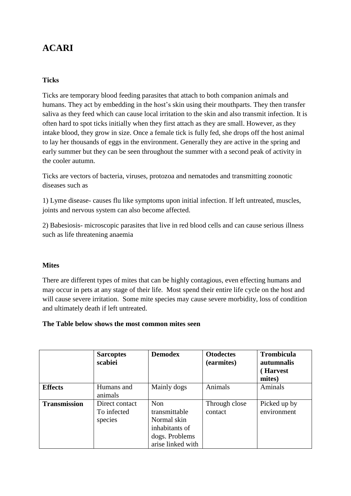# **ACARI**

### **Ticks**

Ticks are temporary blood feeding parasites that attach to both companion animals and humans. They act by embedding in the host's skin using their mouthparts. They then transfer saliva as they feed which can cause local irritation to the skin and also transmit infection. It is often hard to spot ticks initially when they first attach as they are small. However, as they intake blood, they grow in size. Once a female tick is fully fed, she drops off the host animal to lay her thousands of eggs in the environment. Generally they are active in the spring and early summer but they can be seen throughout the summer with a second peak of activity in the cooler autumn.

Ticks are vectors of bacteria, viruses, protozoa and nematodes and transmitting zoonotic diseases such as

1) Lyme disease- causes flu like symptoms upon initial infection. If left untreated, muscles, joints and nervous system can also become affected.

2) Babesiosis- microscopic parasites that live in red blood cells and can cause serious illness such as life threatening anaemia

#### **Mites**

There are different types of mites that can be highly contagious, even effecting humans and may occur in pets at any stage of their life. Most spend their entire life cycle on the host and will cause severe irritation. Some mite species may cause severe morbidity, loss of condition and ultimately death if left untreated.

#### **The Table below shows the most common mites seen**

|                     | <b>Sarcoptes</b><br>scabiei              | <b>Demodex</b>                                                                               | <b>Otodectes</b><br>(earmites) | <b>Trombicula</b><br>autumnalis<br>(Harvest<br>mites) |
|---------------------|------------------------------------------|----------------------------------------------------------------------------------------------|--------------------------------|-------------------------------------------------------|
| <b>Effects</b>      | Humans and<br>animals                    | Mainly dogs                                                                                  | Animals                        | Aminals                                               |
| <b>Transmission</b> | Direct contact<br>To infected<br>species | Non<br>transmittable<br>Normal skin<br>inhabitants of<br>dogs. Problems<br>arise linked with | Through close<br>contact       | Picked up by<br>environment                           |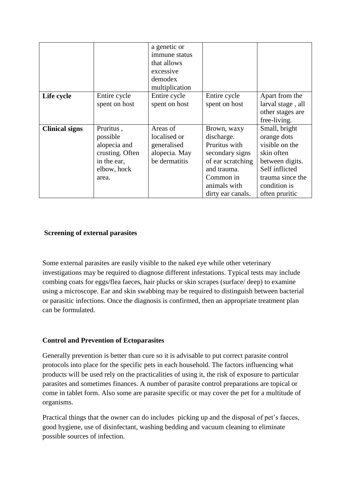|                       |                 | a genetic or   |                   |                   |
|-----------------------|-----------------|----------------|-------------------|-------------------|
|                       |                 | immune status  |                   |                   |
|                       |                 | that allows    |                   |                   |
|                       |                 | excessive      |                   |                   |
|                       |                 | demodex        |                   |                   |
|                       |                 | multiplication |                   |                   |
| Life cycle            | Entire cycle    | Entire cycle   | Entire cycle      | Apart from the    |
|                       | spent on host   | spent on host  | spent on host     | larval stage, all |
|                       |                 |                |                   | other stages are  |
|                       |                 |                |                   | free-living.      |
| <b>Clinical signs</b> | Pruritus,       | Areas of       | Brown, waxy       | Small, bright     |
|                       | possible        | localised or   | discharge.        | orange dots       |
|                       | alopecia and    | generalised    | Pruritus with     | visible on the    |
|                       | crusting. Often | alopecia. May  | secondary signs   | skin often        |
|                       | in the ear,     | be dermatitis  | of ear scratching | between digits.   |
|                       | elbow, hock     |                | and trauma.       | Self inflicted    |
|                       | area.           |                | Common in         | trauma since the  |
|                       |                 |                | animals with      | condition is      |
|                       |                 |                | dirty ear canals. | often pruritic    |

# **Screening of external parasites**

Some external parasites are easily visible to the naked eye while other veterinary investigations may be required to diagnose different infestations. Typical tests may include combing coats for eggs/flea faeces, hair plucks or skin scrapes (surface/ deep) to examine using a microscope. Ear and skin swabbing may be required to distinguish between bacterial or parasitic infections. Once the diagnosis is confirmed, then an appropriate treatment plan can be formulated.

#### **Control and Prevention of Ectoparasites**

Generally prevention is better than cure so it is advisable to put correct parasite control protocols into place for the specific pets in each household. The factors influencing what products will be used rely on the practicalities of using it, the risk of exposure to particular parasites and sometimes finances. A number of parasite control preparations are topical or come in tablet form. Also some are parasite specific or may cover the pet for a multitude of organisms.

Practical things that the owner can do includes picking up and the disposal of pet's faeces, good hygiene, use of disinfectant, washing bedding and vacuum cleaning to eliminate possible sources of infection.